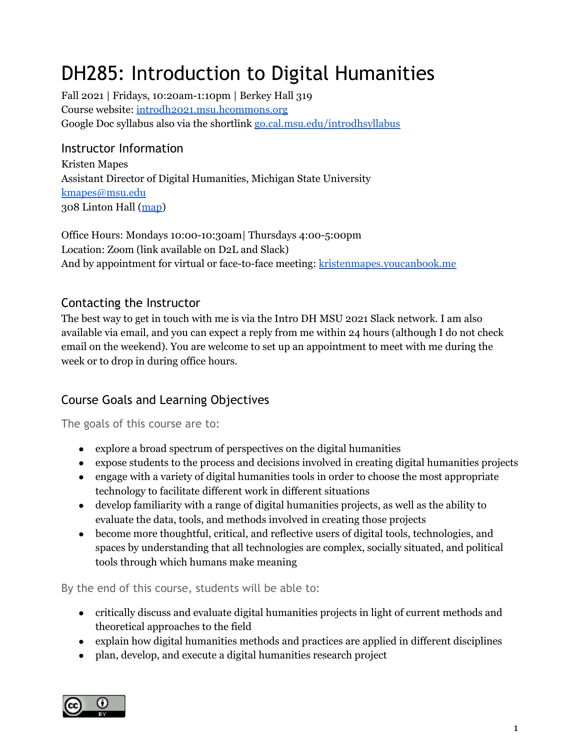# DH285: Introduction to Digital Humanities

Fall 2021 | Fridays, 10:20am-1:10pm | Berkey Hall 319 Course website: [introdh2021.msu.hcommons.org](https://introdh2021.msu.hcommons.org/) Google Doc syllabus also via the shortlink [go.cal.msu.edu/introdhsyllabus](http://go.cal.msu.edu/introdhsyllabus)

# Instructor Information

Kristen Mapes Assistant Director of Digital Humanities, Michigan State University [kmapes@msu.edu](mailto:kmapes@msu.edu) 308 Linton Hall ([map](https://maps.msu.edu/interactive/index.php?location=SOP7))

Office Hours: Mondays 10:00-10:30am| Thursdays 4:00-5:00pm Location: Zoom (link available on D2L and Slack) And by appointment for virtual or face-to-face meeting: [kristenmapes.youcanbook.me](https://kristenmapes.youcanbook.me/)

# Contacting the Instructor

The best way to get in touch with me is via the Intro DH MSU 2021 Slack network. I am also available via email, and you can expect a reply from me within 24 hours (although I do not check email on the weekend). You are welcome to set up an appointment to meet with me during the week or to drop in during office hours.

# Course Goals and Learning Objectives

The goals of this course are to:

- explore a broad spectrum of perspectives on the digital humanities
- expose students to the process and decisions involved in creating digital humanities projects
- engage with a variety of digital humanities tools in order to choose the most appropriate technology to facilitate different work in different situations
- develop familiarity with a range of digital humanities projects, as well as the ability to evaluate the data, tools, and methods involved in creating those projects
- become more thoughtful, critical, and reflective users of digital tools, technologies, and spaces by understanding that all technologies are complex, socially situated, and political tools through which humans make meaning

By the end of this course, students will be able to:

- critically discuss and evaluate digital humanities projects in light of current methods and theoretical approaches to the field
- explain how digital humanities methods and practices are applied in different disciplines
- plan, develop, and execute a digital humanities research project

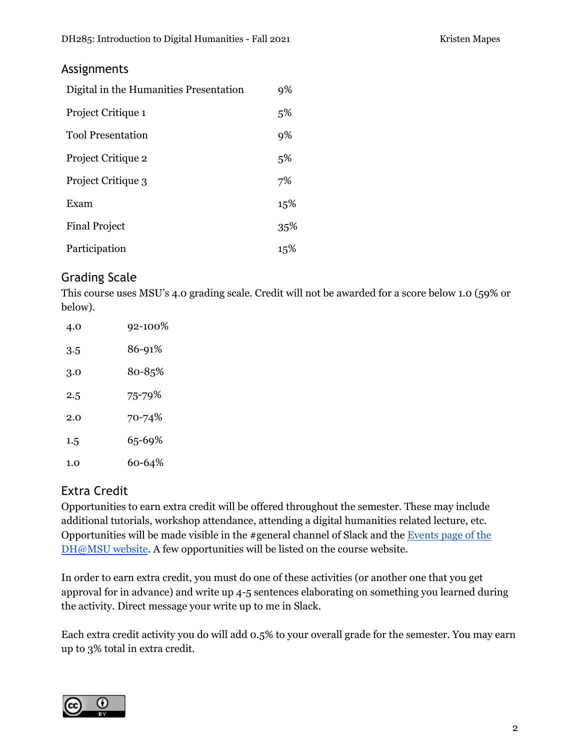## Assignments

| Digital in the Humanities Presentation | 9%  |
|----------------------------------------|-----|
| Project Critique 1                     | 5%  |
| <b>Tool Presentation</b>               | 9%  |
| Project Critique 2                     | 5%  |
| Project Critique 3                     | 7%  |
| Exam                                   | 15% |
| <b>Final Project</b>                   | 35% |
| Participation                          | 15% |

# Grading Scale

This course uses MSU's 4.0 grading scale. Credit will not be awarded for a score below 1.0 (59% or below).

| 4.0 | 92-100% |
|-----|---------|
| 3.5 | 86-91%  |
| 3.0 | 80-85%  |
| 2.5 | 75-79%  |
| 2.0 | 70-74%  |
| 1.5 | 65-69%  |
| 1.0 | 60-64%  |

# Extra Credit

Opportunities to earn extra credit will be offered throughout the semester. These may include additional tutorials, workshop attendance, attending a digital humanities related lecture, etc. Opportunities will be made visible in the #general channel of Slack and the [Events](https://digitalhumanities.msu.edu/past-events/) page of the [DH@MSU](https://digitalhumanities.msu.edu/past-events/) website. A few opportunities will be listed on the course website.

In order to earn extra credit, you must do one of these activities (or another one that you get approval for in advance) and write up 4-5 sentences elaborating on something you learned during the activity. Direct message your write up to me in Slack.

Each extra credit activity you do will add 0.5% to your overall grade for the semester. You may earn up to 3% total in extra credit.

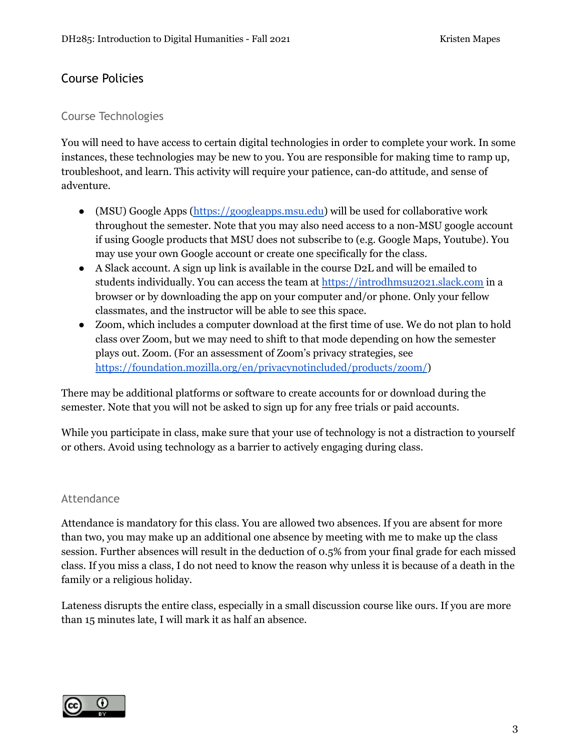# Course Policies

## Course Technologies

You will need to have access to certain digital technologies in order to complete your work. In some instances, these technologies may be new to you. You are responsible for making time to ramp up, troubleshoot, and learn. This activity will require your patience, can-do attitude, and sense of adventure.

- (MSU) Google Apps [\(https://googleapps.msu.edu](https://googleapps.msu.edu)) will be used for collaborative work throughout the semester. Note that you may also need access to a non-MSU google account if using Google products that MSU does not subscribe to (e.g. Google Maps, Youtube). You may use your own Google account or create one specifically for the class.
- A Slack account. A sign up link is available in the course D2L and will be emailed to students individually. You can access the team a[t](https://mattermost.dh.msu.domains) <https://introdhmsu2021.slack.com> in a browser or by downloading the app on your computer and/or phone. Only your fellow classmates, and the instructor will be able to see this space.
- Zoom, which includes a computer download at the first time of use. We do not plan to hold class over Zoom, but we may need to shift to that mode depending on how the semester plays out. Zoom. (For an assessment of Zoom's privacy strategies, se[e](https://foundation.mozilla.org/en/privacynotincluded/products/zoom/) <https://foundation.mozilla.org/en/privacynotincluded/products/zoom/>)

There may be additional platforms or software to create accounts for or download during the semester. Note that you will not be asked to sign up for any free trials or paid accounts.

While you participate in class, make sure that your use of technology is not a distraction to yourself or others. Avoid using technology as a barrier to actively engaging during class.

## Attendance

Attendance is mandatory for this class. You are allowed two absences. If you are absent for more than two, you may make up an additional one absence by meeting with me to make up the class session. Further absences will result in the deduction of 0.5% from your final grade for each missed class. If you miss a class, I do not need to know the reason why unless it is because of a death in the family or a religious holiday.

Lateness disrupts the entire class, especially in a small discussion course like ours. If you are more than 15 minutes late, I will mark it as half an absence.

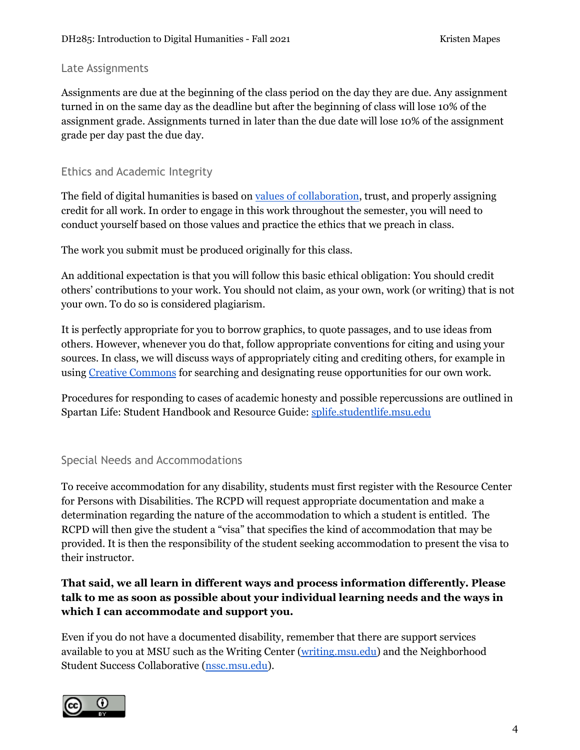#### Late Assignments

Assignments are due at the beginning of the class period on the day they are due. Any assignment turned in on the same day as the deadline but after the beginning of class will lose 10% of the assignment grade. Assignments turned in later than the due date will lose 10% of the assignment grade per day past the due day.

## Ethics and Academic Integrity

The field of digital humanities is based on values of [collaboration](https://dhdebates.gc.cuny.edu/read/untitled-88c11800-9446-469b-a3be-3fdb36bfbd1e/section/9e014167-c688-43ab-8b12-0f6746095335#ch03), trust, and properly assigning credit for all work. In order to engage in this work throughout the semester, you will need to conduct yourself based on those values and practice the ethics that we preach in class.

The work you submit must be produced originally for this class.

An additional expectation is that you will follow this basic ethical obligation: You should credit others' contributions to your work. You should not claim, as your own, work (or writing) that is not your own. To do so is considered plagiarism.

It is perfectly appropriate for you to borrow graphics, to quote passages, and to use ideas from others. However, whenever you do that, follow appropriate conventions for citing and using your sources. In class, we will discuss ways of appropriately citing and crediting others, for example in using Creative [Commons](https://creativecommons.org/) for searching and designating reuse opportunities for our own work.

Procedures for responding to cases of academic honesty and possible repercussions are outlined in Spartan Life: Student Handbook and Resource Guide: [splife.studentlife.msu.edu](http://splife.studentlife.msu.edu/)

## Special Needs and Accommodations

To receive accommodation for any disability, students must first register with the Resource Center for Persons with Disabilities. The RCPD will request appropriate documentation and make a determination regarding the nature of the accommodation to which a student is entitled. The RCPD will then give the student a "visa" that specifies the kind of accommodation that may be provided. It is then the responsibility of the student seeking accommodation to present the visa to their instructor.

## **That said, we all learn in different ways and process information differently. Please talk to me as soon as possible about your individual learning needs and the ways in which I can accommodate and support you.**

Even if you do not have a documented disability, remember that there are support services available to you at MSU such as the Writing Center [\(writing.msu.edu\)](http://writing.msu.edu) and the Neighborhood Student Success Collaborative [\(nssc.msu.edu\)](https://nssc.msu.edu/).

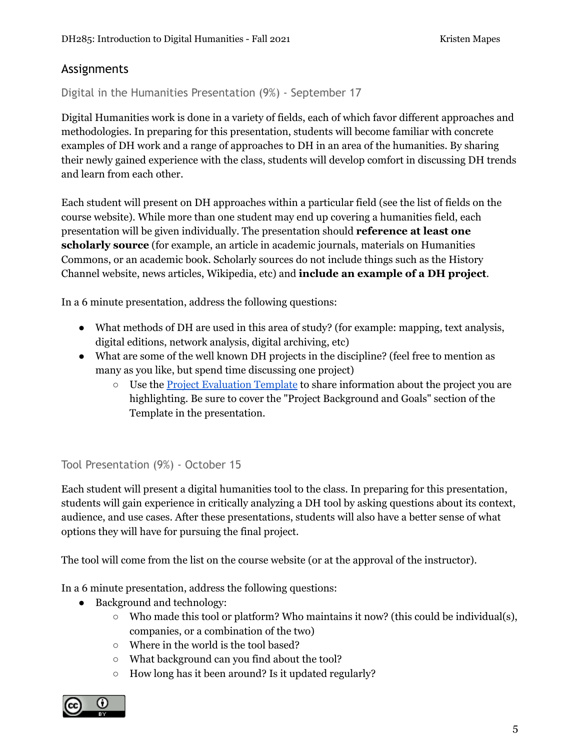# Assignments

Digital in the Humanities Presentation (9%) - September 17

Digital Humanities work is done in a variety of fields, each of which favor different approaches and methodologies. In preparing for this presentation, students will become familiar with concrete examples of DH work and a range of approaches to DH in an area of the humanities. By sharing their newly gained experience with the class, students will develop comfort in discussing DH trends and learn from each other.

Each student will present on DH approaches within a particular field (see the list of fields on the course website). While more than one student may end up covering a humanities field, each presentation will be given individually. The presentation should **reference at least one scholarly source** (for example, an article in academic journals, materials on Humanities Commons, or an academic book. Scholarly sources do not include things such as the History Channel website, news articles, Wikipedia, etc) and **include an example of a DH project**.

In a 6 minute presentation, address the following questions:

- What methods of DH are used in this area of study? (for example: mapping, text analysis, digital editions, network analysis, digital archiving, etc)
- What are some of the well known DH projects in the discipline? (feel free to mention as many as you like, but spend time discussing one project)
	- Use the Project [Evaluation](https://docs.google.com/document/d/1jp0bQ18hXKxekgACfBCw_6P6lO_xg4uzUXXMvT2jaPo/edit) Template to share information about the project you are highlighting. Be sure to cover the "Project Background and Goals" section of the Template in the presentation.

Tool Presentation (9%) - October 15

Each student will present a digital humanities tool to the class. In preparing for this presentation, students will gain experience in critically analyzing a DH tool by asking questions about its context, audience, and use cases. After these presentations, students will also have a better sense of what options they will have for pursuing the final project.

The tool will come from the list on the course website (or at the approval of the instructor).

In a 6 minute presentation, address the following questions:

- Background and technology:
	- Who made this tool or platform? Who maintains it now? (this could be individual(s), companies, or a combination of the two)
	- Where in the world is the tool based?
	- What background can you find about the tool?
	- How long has it been around? Is it updated regularly?

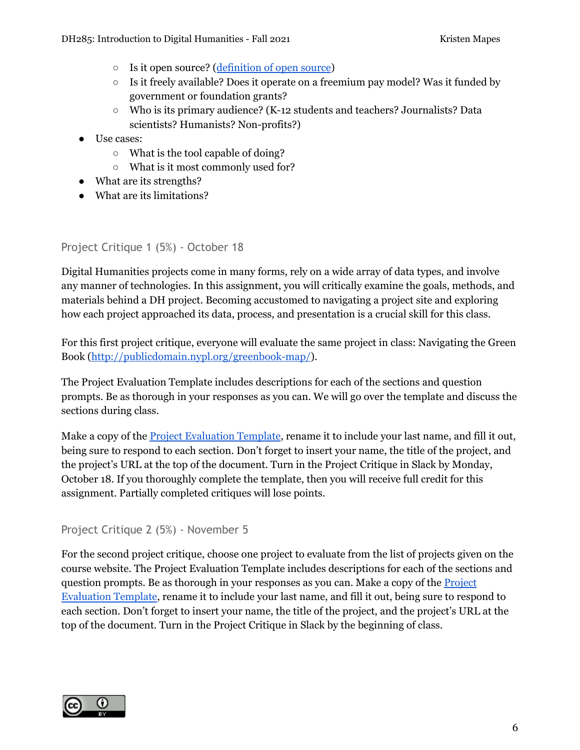- Is it open source? ([definition](https://opensource.com/resources/what-open-source) of open source)
- $\circ$  Is it freely available? Does it operate on a freemium pay model? Was it funded by government or foundation grants?
- Who is its primary audience? (K-12 students and teachers? Journalists? Data scientists? Humanists? Non-profits?)
- Use cases:
	- What is the tool capable of doing?
	- What is it most commonly used for?
- What are its strengths?
- What are its limitations?

## Project Critique 1 (5%) - October 18

Digital Humanities projects come in many forms, rely on a wide array of data types, and involve any manner of technologies. In this assignment, you will critically examine the goals, methods, and materials behind a DH project. Becoming accustomed to navigating a project site and exploring how each project approached its data, process, and presentation is a crucial skill for this class.

For this first project critique, everyone will evaluate the same project in class: Navigating the Green Book [\(http://publicdomain.nypl.org/greenbook-map/](http://publicdomain.nypl.org/greenbook-map/)).

The Project Evaluation Template includes descriptions for each of the sections and question prompts. Be as thorough in your responses as you can. We will go over the template and discuss the sections during class.

Make a copy of the Project [Evaluation](https://docs.google.com/document/d/1jp0bQ18hXKxekgACfBCw_6P6lO_xg4uzUXXMvT2jaPo) Template, rename it to include your last name, and fill it out, being sure to respond to each section. Don't forget to insert your name, the title of the project, and the project's URL at the top of the document. Turn in the Project Critique in Slack by Monday, October 18. If you thoroughly complete the template, then you will receive full credit for this assignment. Partially completed critiques will lose points.

## Project Critique 2 (5%) - November 5

For the second project critique, choose one project to evaluate from the list of projects given on the course website. The Project Evaluation Template includes descriptions for each of the sections and question prompts. Be as thorough in your responses as you can. Make a copy of the **[Project](https://docs.google.com/document/d/1jp0bQ18hXKxekgACfBCw_6P6lO_xg4uzUXXMvT2jaPo)** [Evaluation](https://docs.google.com/document/d/1jp0bQ18hXKxekgACfBCw_6P6lO_xg4uzUXXMvT2jaPo) Template, rename it to include your last name, and fill it out, being sure to respond to each section. Don't forget to insert your name, the title of the project, and the project's URL at the top of the document. Turn in the Project Critique in Slack by the beginning of class.

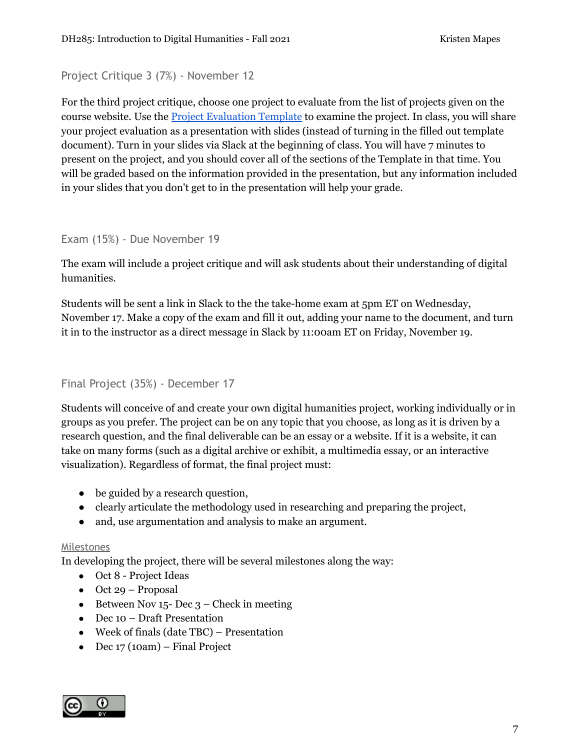## Project Critique 3 (7%) - November 12

For the third project critique, choose one project to evaluate from the list of projects given on the course website. Use the Project [Evaluation](https://docs.google.com/document/d/1jp0bQ18hXKxekgACfBCw_6P6lO_xg4uzUXXMvT2jaPo) Template to examine the project. In class, you will share your project evaluation as a presentation with slides (instead of turning in the filled out template document). Turn in your slides via Slack at the beginning of class. You will have 7 minutes to present on the project, and you should cover all of the sections of the Template in that time. You will be graded based on the information provided in the presentation, but any information included in your slides that you don't get to in the presentation will help your grade.

#### Exam (15%) - Due November 19

The exam will include a project critique and will ask students about their understanding of digital humanities.

Students will be sent a link in Slack to the the take-home exam at 5pm ET on Wednesday, November 17. Make a copy of the exam and fill it out, adding your name to the document, and turn it in to the instructor as a direct message in Slack by 11:00am ET on Friday, November 19.

## Final Project (35%) - December 17

Students will conceive of and create your own digital humanities project, working individually or in groups as you prefer. The project can be on any topic that you choose, as long as it is driven by a research question, and the final deliverable can be an essay or a website. If it is a website, it can take on many forms (such as a digital archive or exhibit, a multimedia essay, or an interactive visualization). Regardless of format, the final project must:

- be guided by a research question,
- clearly articulate the methodology used in researching and preparing the project,
- and, use argumentation and analysis to make an argument.

#### Milestones

In developing the project, there will be several milestones along the way:

- Oct 8 Project Ideas
- $\bullet$  Oct 29 Proposal
- Between Nov  $15$  Dec  $3$  Check in meeting
- Dec 10 Draft Presentation
- Week of finals (date TBC) Presentation
- $\bullet$  Dec 17 (10am) Final Project

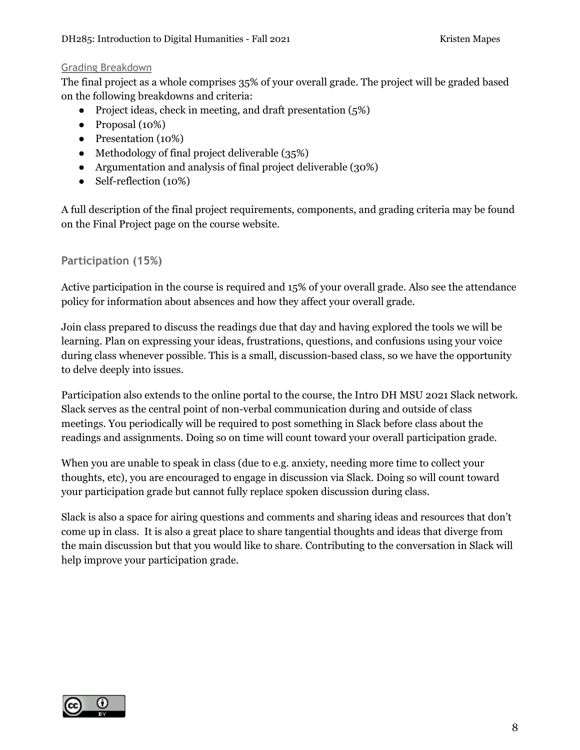## Grading Breakdown

The final project as a whole comprises 35% of your overall grade. The project will be graded based on the following breakdowns and criteria:

- Project ideas, check in meeting, and draft presentation (5%)
- $\bullet$  Proposal (10%)
- Presentation (10%)
- Methodology of final project deliverable (35%)
- Argumentation and analysis of final project deliverable (30%)
- Self-reflection (10%)

A full description of the final project requirements, components, and grading criteria may be found on the Final Project page on the course website.

# **Participation (15%)**

Active participation in the course is required and 15% of your overall grade. Also see the attendance policy for information about absences and how they affect your overall grade.

Join class prepared to discuss the readings due that day and having explored the tools we will be learning. Plan on expressing your ideas, frustrations, questions, and confusions using your voice during class whenever possible. This is a small, discussion-based class, so we have the opportunity to delve deeply into issues.

Participation also extends to the online portal to the course, the Intro DH MSU 2021 Slack network. Slack serves as the central point of non-verbal communication during and outside of class meetings. You periodically will be required to post something in Slack before class about the readings and assignments. Doing so on time will count toward your overall participation grade.

When you are unable to speak in class (due to e.g. anxiety, needing more time to collect your thoughts, etc), you are encouraged to engage in discussion via Slack. Doing so will count toward your participation grade but cannot fully replace spoken discussion during class.

Slack is also a space for airing questions and comments and sharing ideas and resources that don't come up in class. It is also a great place to share tangential thoughts and ideas that diverge from the main discussion but that you would like to share. Contributing to the conversation in Slack will help improve your participation grade.

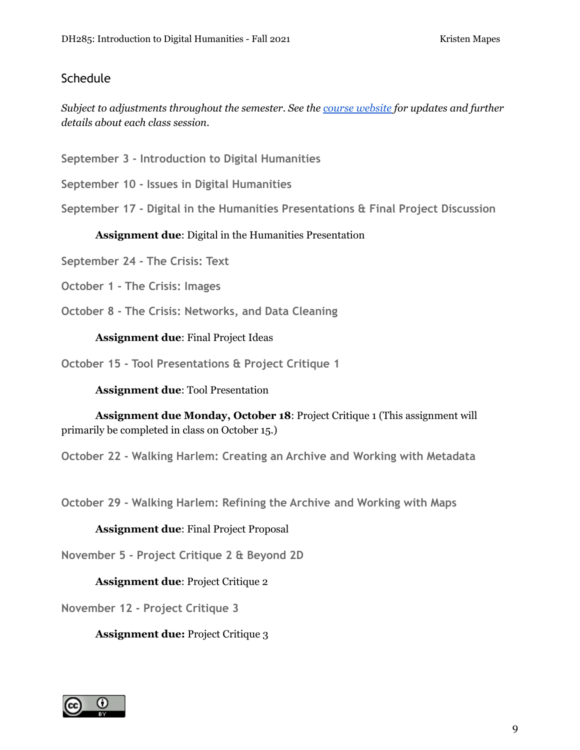# **Schedule**

*Subject to adjustments throughout the semester. See the course [website](https://introdh2021.msu.hcommons.org/schedule) for updates and further details about each class session.*

**September 3 - Introduction to Digital Humanities**

**September 10 - Issues in Digital Humanities**

**September 17 - Digital in the Humanities Presentations & Final Project Discussion**

**Assignment due**: Digital in the Humanities Presentation

**September 24 - The Crisis: Text**

**October 1 - The Crisis: Images**

**October 8 - The Crisis: Networks, and Data Cleaning**

**Assignment due**: Final Project Ideas

**October 15 - Tool Presentations & Project Critique 1**

**Assignment due**: Tool Presentation

**Assignment due Monday, October 18**: Project Critique 1 (This assignment will primarily be completed in class on October 15.)

**October 22 - Walking Harlem: Creating an Archive and Working with Metadata**

**October 29 - Walking Harlem: Refining the Archive and Working with Maps**

**Assignment due**: Final Project Proposal

**November 5 - Project Critique 2 & Beyond 2D**

**Assignment due**: Project Critique 2

**November 12 - Project Critique 3**

**Assignment due:** Project Critique 3